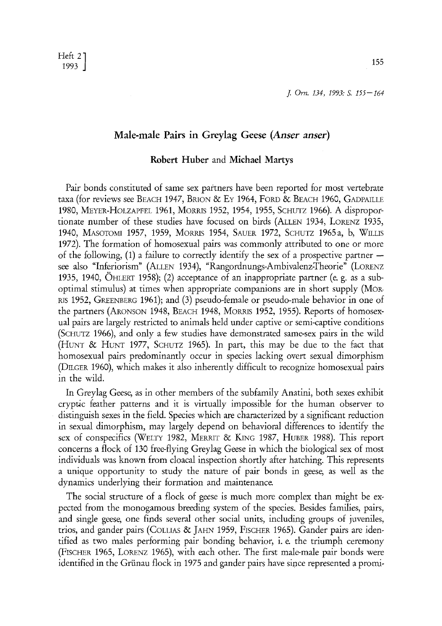# **Male-male Pairs in Greylag Geese** *(Anser anser)*

#### **Robert Huber and Michael Martys**

Pair bonds constituted of same sex partners have been reported for most vertebrate taxa (for reviews see BEACH 1947, BRION & EY 1964, FORD & BEACH 1960, GADPAILLE 1980, MEYER-HOLZAPFEL 1961, MORRIS 1952, 1954, 1955, SCHUTZ 1966). A disproportionate number of these studies have focused on birds (ALLEN 1934, LORENZ 1935, 1940, MASOTOMI 1957, 1959, MORRIS 1954, SAUER 1972, SCHUTZ 1965a, b, WILLIS 1972). The formation of homosexual pairs was commonly attributed to one or more of the following,  $(1)$  a failure to correctly identify the sex of a prospective partner  $$ see also "Inferiorism" (ALLEN 1934), "Rangordnungs-Ambivalenz-Theorie" (LORENZ 1935, 1940, ÖHLERT 1958); (2) acceptance of an inappropriate partner (e. g. as a suboptimal stimulus) at times when appropriate companions are in short supply (MoR-RIS 1952, GREENBERG 1961); and  $(3)$  pseudo-female or pseudo-male behavior in one of the partners (ARONSON 1948, BEACH 1948, MORRIS 1952, 1955). Reports of homosexual pairs are largely restricted to animals held under captive or semi-captive conditions (SCHUTZ 1966), and only a few studies have demonstrated same-sex pairs in the wild (HUNT & HUNT 1977, SCHUTZ 1965). In part, this may be due to the fact that homosexual pairs predominantly occur in species lacking overt sexual dimorphism (DmCER 1960), which makes it also inherently difficult to recognize homosexual pairs in the wild.

In Greylag Geese, as in other members of the subfamily Anatini, both sexes exhibit crypfic feather patterns and it is virtually impossible for the human observer to distinguish sexes in the field. Species which are characterized by a significant reduction in sexual dimorphism, may largely depend on behavioral differences to identify the sex of conspecifics (WELTY 1982, MERRIT & KING 1987, HUBER 1988). This report concerns a flock of 130 free-flying Greylag Geese in which the biological sex of most individuals was known from cloacal inspection shortly after hatching. This represents a unique opportunity to study the nature of pair bonds in geese, as well as the dynamics underlying their formation and maintenance

The social structure of a flock of geese is much more complex than might be expected from the monogamous breeding system of the species. Besides families, pairs, and single geese, one finds several other social units, including groups of juveniles, trios, and gander pairs (CoLLIAS & JAHN 1959, FISCHER 1965). Gander pairs are identified as two males performing pair bonding behavior, i. e. the triumph ceremony (FISCHER 1965, LORENZ 1965), with each other. The first male-male pair bonds were identified in the Grünau flock in 1975 and gander pairs have since represented a promi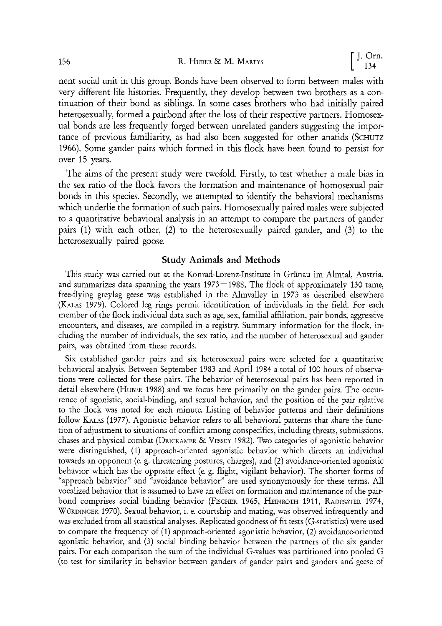nent social unit in this group. Bonds have been observed to form between males with very different life histories. Frequently, they develop between two brothers as a continuation of their bond as siblings. In some cases brothers who had initially paired heterosexually, formed a pairbond after the loss of their respective partners. Homosexual bonds are less frequently forged between unrelated ganders suggesting the importance of previous familiarity, as had also been suggested for other anatids (SCHUTZ 1966). Some gander pairs which formed in this flock have been found to persist for over 15 years.

The aims of the present study were twofold. Firstly, to test whether a male bias in the sex ratio of the flock favors the formation and maintenance of homosexual pair bonds in this species. Secondly, we attempted to identify the behavioral mechanisms which underlie the formation of such pairs. Homosexually paired males were subjected to a quantitative behavioral analysis in an attempt to compare the partners of gander pairs (1) with each other, (2) to the heterosexually paired gander, and (3) to the heterosexually paired goosa

# **Study Animals and Methods**

This study was carried out at the Konrad-Lorenz-Institute in Grünau im Almtal, Austria, and summarizes data spanning the years  $1973-1988$ . The flock of approximately 130 tame, free-flying greylag geese was established in the Almvalley in 1973 as described elsewhere (KaLAS 1979). Colored leg rings permit identification of individuals in the fiel& For each member of the flock individual data such as age, sex, familial affiliation, pair bonds, aggressive encounters, and diseases, are compiled in a registry. Summary information for the flock, including the number of individuats, the sex ratio, and the number of heterosexual and gander pairs, was obtained from these records.

Six established gander pairs and six heterosexual pairs were selected for a quantitative behavioral analysis. Between September 1983 and April 1984 a total of 100 hours of observations were collected for these pairs. The behavior of heterosexual pairs has been reported in detail elsewhere (HuBER 1988) and we focus here primarily on the gander pairs. The occurrence of agonistic, social-binding, and sexual behavior, and the position of the pair relative to the flock was noted for each minute. Listing of behavior patterns and their definitions follow KALAS (1977). Agonistic behavior refers to all behavioral patterns that share the function of adjustment to situations of conflict among conspecifics, including threats, submissions, chases and physical combat (DRICKAMER & VESSEY 1982). Two categories of agonistic behavior were distinguished, (1) approach-oriented agonistic behavior which directs an individual towards an opponent (e. g. threatening postures, charges), and (2) avoidance-oriented agonistic behavior which has the opposite effect (e. g. flight, vigilant behavior). The shorter forms of ùapproach behavior" and "avoidance behavior" are used syr/onymously for these terms. All vocalized behavior that is assumed to have an effect on formation and maintenance of the pairbond comprises social binding behavior (FISCHER 1965, HEINROTH 1911, RADESÄTER 1974, WÜRDINGER 1970). Sexual behavior, i. e. courtship and mating, was observed infrequently and was excluded from all statistical analyses. Repticated goodness of fit tests (G-statistics) were used to compare the frequency of (1) approach-oriented agonistic behavior, (2) avoidance-oriented agonistic behavior, and (3) social binding behavior between the partners of the six gander pairs. For each comparison the sum of the individual G-values was partitioned into pooled G (to test for similarity in behavior between ganders of gander pairs and ganders and geese of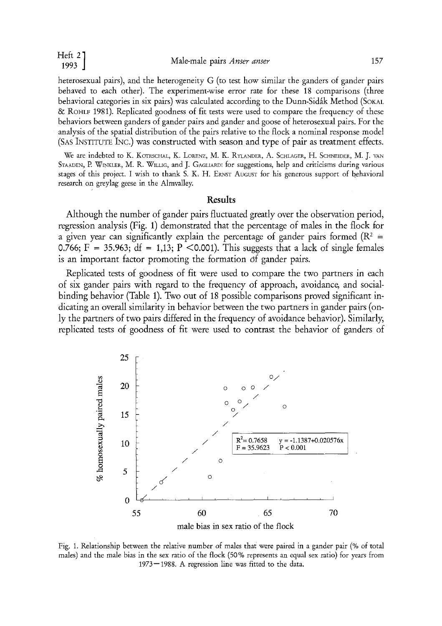| п.<br>٣<br>÷ |  |
|--------------|--|
|              |  |

heterosexual pairs), and the heterogeneity G (to test how similar the ganders of gander pairs behaved to each other). The experiment-wise error rate for these 18 comparisons (three behavioral categories in six pairs) was calculated according to the Dunn-Sidäk Method (SOKAL & ROHLF 1981). Replicated goodness of fit tests were used to compare the frequency of these behaviors between ganders of gander pairs and gander and goose of heterosexual pairs. For the analysis of the spatial distribution of the pairs relative to the flock a nominal response model (SAS INSTITUTE INC.) was constructed with season and type of pair as treatment effects.

We are indebted to K. KOTRSCHAL, K. LORENZ, M. K. RYLANDER, A. SCHLAGER, H. SCHNEIDER, M. J. VAN STAADEN, P. WINKLER, M. R. WILLIG, and J. GAGLIARDI for suggestions, help and criticisms during various stages of this project. I wish to thank S. K, H. ERNST AUGUST for bis generous support of behavioral research on greylag geese in the Almvalley.

### **Results**

Although the number of gander pairs fluctuated greatly over the observation period, regression analysis (Fig. 1) demonstrated that the percentage of males in the flock for a given year can significantly explain the percentage of gander pairs formed ( $\mathbb{R}^2$  = 0.766; F = 35.963; df = 1,13; P < 0.001). This suggests that a lack of single females is an important factor promoting the formation 0f gander pairs.

Replicated tests of goodness of fit were used to compare the two partners in each of six gander pairs with regard to the frequency of approach, avoidance, and socialbinding behavior (Table 1). Two out of 18 possible comparisons proved significant indicating an overall similarity in behavior between the two partners in gander pairs (only the partners of two pairs differed in the frequency of avoidance behavior). Similarly, replicated tests of goodness of fit were used to contrast the behavior of ganders of



Fig. 1. Relationship between the relative number of males that were paired in a gander pair (% of total males) and the male bias in the sex ratio of the flock (50% represents an equal sex ratio) for years from 1973-1988. A regression line was fitted to the data.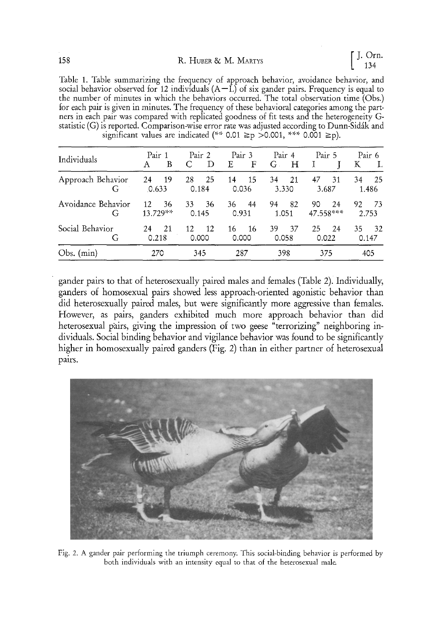Table 1. Table summarizing the frequency of approach behavior, avoidance behavior, and social behavior observed for 12 individuals  $(A-L)$  of six gander pairs. Frequency is equal to the number of minutes in which the behaviors occurred. The total observation time (Obs.) for each pair is given in minutes. The ffequency of these behavioral categories among the partners in each pair was compared with replicated goodness of fit tests and the heterogeneity Gstatistic (G) is reported. Comparison-wise error rate was adjusted according to Dunn-Sidäk and significant values are indicated (\*\* 0.01  $\geq p$  >0.001, \*\*\* 0.001  $\geq p$ ).

| Individuals             |             | Pair 1           |    | Pair 2       | Pair 3      |      | Pair 4      |              |    | Pair 5          |              | Pair 6      |
|-------------------------|-------------|------------------|----|--------------|-------------|------|-------------|--------------|----|-----------------|--------------|-------------|
|                         | А           | B                |    | D            | Ε           | F    | $G$ .       | $\mathbf{H}$ |    |                 | Κ            | L           |
| Approach Behavior<br>G  | 24<br>0.633 | -19              | 28 | -25<br>0.184 | 14<br>0.036 | 15   | 34<br>3.330 | 21           | 47 | 31<br>3.687     | 34           | 25<br>1.486 |
| Avoidance Behavior<br>G | 12          | 36<br>$13.729**$ | 33 | 36<br>0.145  | 36<br>0.931 | 44   | 94          | 82<br>1.051  | 90 | 24<br>47.558*** | 92.<br>2.753 | 73          |
| Social Behavior<br>G    | 24          | 21<br>0.218      | 12 | 12<br>0.000  | 16<br>0.000 | - 16 | 39<br>0.058 | 37           | 25 | 24<br>0.022     | 35<br>0.147  | 32          |
| $Obs.$ (min)            |             | 270              |    | 345          | 287         |      | 398         |              |    | 375             |              | 405         |

gander pairs to that of heterosexually paired males and females (Table 2). Individually, ganders of homosexual pairs showed less approach-oriented agonistic behavior than did heterosexually paired males, but were significantly more aggressive than females. However, as pairs, ganders exhibited much more approach behavior than did heterosexual pairs, giving the impression of two geese "terrorizing" neighboring individuals. Social binding behavior and vigilance behavior was found to be significantly higher in homosexually paired ganders (Fig. 2) than in either partner of heterosexual pälrs.



Fig. 2. A gander pair performing the triumph ceremony. This social-binding behavior is performed by both individuals with an intensity equal to that of the heterosexual male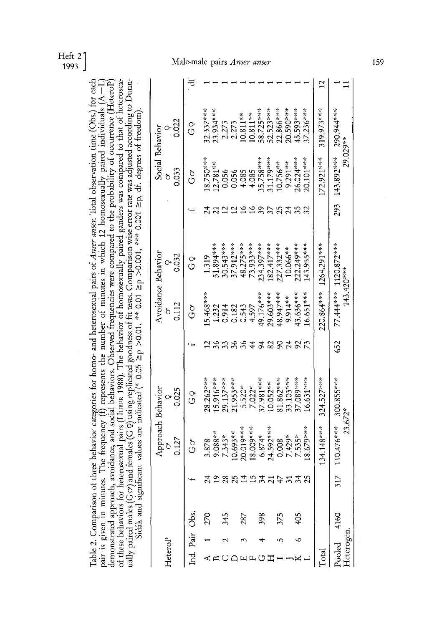Heft 2 1993 ]

### Male-male pairs *Anser anser*

 $\approx$  e. ë. **• n.~õ «**   $\stackrel{9}{\scriptstyle\sim}$   $\stackrel{1}{\scriptstyle\sim}$   $\stackrel{1}{\scriptstyle\sim}$   $\stackrel{1}{\scriptstyle\sim}$   $\stackrel{1}{\scriptstyle\sim}$   $\stackrel{1}{\scriptstyle\sim}$   $\stackrel{1}{\scriptstyle\sim}$  $\frac{8}{15}$ **N~**  demonstrated approach, avoidance, and social behaviors. Observed frequencies were compared to the probability of occurrence (HeteroP)<br>of these behaviors for heterosexual pairs (Hunax 1988). The behavior of homosexually pai **o~,z**  &⊕<sup>~</sup>⊴ ਦੂ ∙≅ - $\cdot$  =  $\frac{1}{2}$   $\frac{1}{2}$   $\frac{1}{2}$   $\frac{1}{2}$   $\frac{1}{2}$   $\frac{1}{2}$   $\frac{1}{2}$   $\frac{1}{2}$   $\frac{1}{2}$   $\frac{1}{2}$   $\frac{1}{2}$  $E\oplus S \oplus E$  $\,$ o  $\,$ ਜ਼ਿੰਦ - $\,$ .1 O'a o "-~~ m  $\vec{\mathbf{g}}$  a  $\oplus$   $\mathbf{g}$  . بيد و ب  $\cdot$   $\mathbb{R}$   $\oplus$   $\cdot$   $\oplus$   $\oplus$   $\oplus$ 3.5 ¤ 45  $5 \, \mathrm{o}\!\cdot\!\mathrm{S}$  $\cdot$  C3  $\cdot$  C3  $\cdot$ .Ħ 50 N<br>O  $\frac{5}{5} \circ 3$ .\_~ O **8**  "õ  $\leq$   $\circ$ **< o**   $\approx$  0,0  $\approx$ **¢n o** ~, < o O  $\bar{\mathrm{e}}$ 0+ b o+  $\circ$ 0

| HeteroP              |          |     | 0.127                                                 | Approach Behavior<br>ာ<br>၁၁၁<br>၁          |     | 0.112<br>ð                         | Avoidance Behavior<br>0.032           | Social Behavior<br>0.033                                              | 0.022                                                                                                         |  |
|----------------------|----------|-----|-------------------------------------------------------|---------------------------------------------|-----|------------------------------------|---------------------------------------|-----------------------------------------------------------------------|---------------------------------------------------------------------------------------------------------------|--|
| Ind. Pair            | .<br>Obs |     | δ<br>Ο                                                | ှ<br>ပ                                      |     | ბ<br>ს                             | 9<br>C                                | ბ<br>ს                                                                | o<br>C                                                                                                        |  |
|                      | 270      |     |                                                       | $15.916***$<br>$28.262***$                  |     | $5.468***$                         | 1.319                                 | $8.750***$                                                            | $3.934***$<br>$2.337***$                                                                                      |  |
|                      | 345      |     | $3.878$<br>9.088**<br>7.343*<br>10.693**<br>10.019*** | $29.137***$                                 |     | 1.232<br>0.914<br>0.0543           | $51.894***$                           | $12.781**$<br>0.056<br>0.056<br>4.085<br>4.085<br>4.085<br>3.1.79%*** |                                                                                                               |  |
|                      |          |     |                                                       | 11.953***                                   |     |                                    | 30.543****<br>37.912***               |                                                                       | $\begin{array}{c} 2.273 \\ 2.273 \\ 10.811^{***} \\ 10.811^{***} \\ 58.725^{***} \\ 52.523^{***} \end{array}$ |  |
|                      | 287      |     |                                                       |                                             |     |                                    | $48.275***$                           |                                                                       |                                                                                                               |  |
|                      |          |     |                                                       |                                             |     |                                    | $73.933***$                           |                                                                       |                                                                                                               |  |
|                      | 398      |     | $18.009***$<br>6.874*                                 |                                             |     |                                    | $.34.397***$                          |                                                                       |                                                                                                               |  |
|                      |          |     | $4.592***$                                            | $5.520*$<br>7.022*<br>37.981***<br>10.052** |     | $4.597$<br>19.176***<br>29.603**** | $82.417***$                           |                                                                       |                                                                                                               |  |
|                      | 375      |     | 0.008                                                 | 11.862***                                   |     | $-8.947***$                        | $27.332***$                           | $0.756***$                                                            | $2.866***$                                                                                                    |  |
|                      |          |     |                                                       | <b>33.103***</b>                            |     | $9.914**$                          | 10.066**                              | $9.291***$                                                            | $0.590***$                                                                                                    |  |
|                      | \$0      |     | 7.429*                                                | 17.089***                                   |     | $13.636***$                        | $22.249***$                           | $26.024***$                                                           | $15.593***$                                                                                                   |  |
|                      |          |     | $8.679***$                                            | 6.631***                                    |     | $6.651***$                         | 43.955***                             | 0.101***                                                              | $37.236***$                                                                                                   |  |
| <u>l</u> otal        |          |     | $134.148***$                                          | 324.527***                                  |     | 220.864***                         | 1264.291***                           | 172.921***                                                            | 319.973***                                                                                                    |  |
| Heterogen.<br>Pooled | 4160     | 317 | $110.476***$ 300.855***                               | 23.672*                                     | 652 |                                    | 77.444*** 1120.872***<br>$143.420***$ | 29.029**<br>293 143.892***                                            | 290.944***                                                                                                    |  |
|                      |          |     |                                                       |                                             |     |                                    |                                       |                                                                       |                                                                                                               |  |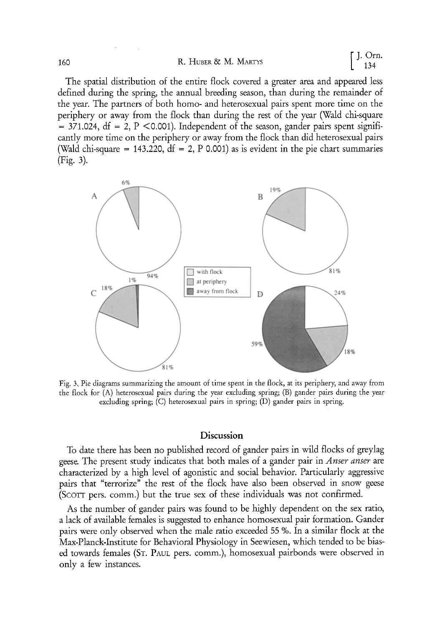The spatial distribution of the entire flock covered a greater area and appeared less defined during the spring, the annual breeding season, than during the remainder of the year. The partners of both homo- and heterosexual pairs spent more time on the periphery or away from the flock than during the rest of the year (Wald chi-square  $= 371.024$ , df  $= 2$ , P <0.001). Independent of the season, gander pairs spent significantly more time on the periphery or away from the flock than did heterosexual pairs (Wald chi-square = 143.220,  $df = 2$ , P 0.001) as is evident in the pie chart summaries  $(Fig. 3)$ .



Fig. 3, Pie diagrams summarizing the amount of time spent in the flock, at its periphery, and away from the flock for (A) heterosexual pairs during the year excluding spring; (B) gander pairs during the year excluding spring; (C) heterosexual pairs in spring; (D) gander pairs in spring.

# **Discussion**

To date there has been no published record of gander pairs in wild flocks of greylag geese\_ The present study indicates that both males of a gander pair in *Anser anser* are characterized by a high level of agonistic and social behavior. Particularly aggressive pairs that "terrorize" the rest of the flock have also been observed in snow geese (ScoTT pers. comm.) but the true sex of these individuals was not confirmed.

As the nurnber of gander pairs was found to be highly dependent on the sex ratio, a lack of available females is suggested to enhance homosexual pair formation. Gander pairs were only observed when the male ratio exceeded 55 %. In a similar flock at the Max-Planck-Institute for Behavioral Physiology in Seewiesen, which tended to be biased towards females (ST. PAUL pers. comm.), homosexual pairbonds were observed in only a few instances.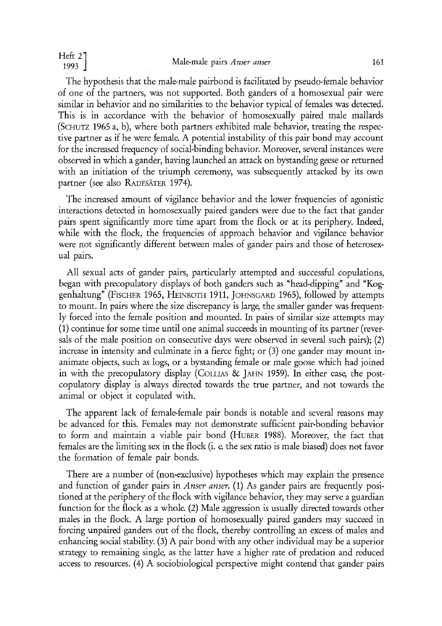The hypothesis that the male-male pairbond is facilitated by pseudo-female behavior of one of the partners, was not supported. Both ganders of a homosexual pair were similar in behavior and no similarities to the behavior typical of females was detected. This is in accordance with the behavior of homosexually paired male mallards (SCHUTZ 1965 a, b), where both partners exhibited male behavior, treating the respective partner as if he were female. A potential instability of this pair bond may account for the increased frequency of social-binding behavior. Moreover, several instances were observed in which a gander, having launched an attack on bystanding geese or returned with an initiation of the triumph ceremony, was subsequently attacked by its own partner (see also RADESÄTER 1974).

The increased amount of vigilance behavior and the lower frequencies of agonistic interactions detected in homosexually paired ganders were due to the fact that gander pairs spent significantly more time apart from the flock or at its periphery. Indeed, while with the flock, the frequencies of approach behavior and vigilance behavior were not significantly different between males of gander pairs and those of heterosexual pairs.

All sexual acts of gander pairs, particularly attempted and successful copulations, began with precopulatory displays of both ganders such as "head-dipping" and "Koggenhaltung" (FISCHER 1965, HEINROTH 1911, JOHNSGARD 1965), followed by attempts to mount. In pairs where the size discrepancy is large, the smaller gander was frequently forced into the female position and mounted. In pairs of similar size attempts may (1) continue for some time until one animal succeeds in mounting of its partner (reversals of the male position on consecutive days were observed in several such pairs); (2) increase in intensity and culminate in a fierce fight; or (3) one gander may mount inanimate objects, such as logs, or a bystanding female or male goose which had joined in with the precopulatory display (COLLIAS & JAHN 1959). In either case, the postcopulatory display is always directed towards the true partner, and not towards the animal or object it copulated with.

The apparent lack of female-female pair bonds is notable and several reasons may be advanced for this. Females may not demonstrate sufficient pair-bonding behavior to form and maintain a viable pair bond (HUBER 1988). Moreover, the fact that females are the limiting sex in the flock (i. e. the sex ratio is male biased) does not favor the formation of female pair bonds.

There are a number of (non-exclusive) hypotheses which may explain the presence and function of gander pairs in *Anser anser.* (1) As gander pairs are frequently positioned at the periphery of the flock with vigilance behavior, they may serve a guardian function for the flock as a whole. (2) Male aggression is usually directed towards other males in the flock. A large portion of homosexually paired ganders may succeed in forcing unpaired ganders out of the flock, thereby controlling an excess of males and enhancing social stability. (3) A pair bond with any other individual may be a superior strategy to remaining single, as the latter have a higher rate of predation and reduced access to resources. (4) A sociobiological perspective might contend that gander pairs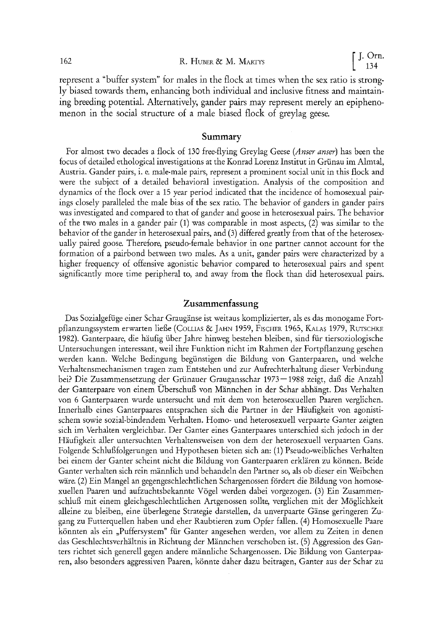represent a "buffer system" for males in the flock at times when the sex ratio is strongly biased towards them, enhancing both individual and inclusive fitness and maintaining breeding potential. Alternatively, gander pairs may represent merely an epiphenomenon in the social structure of a male biased flock of greylag geese.

### **Summary**

For almost two decades a flock of 130 free-flying Greylag Geese *(Anser anser)* has been the focus of detailed ethological investigations at the Konrad Lorenz Institut in Grünau im Almtal, Austria. Gander pairs, i. e. male-male pairs, represent a prominent social unit in this flock and were the subject of a detailed behavioral investigation. Analysis of the composition and dynamics of the flock over a 15 year period indicated that the incidence of homosexual pairings closely paralleled the male blas of the sex ratio. The behavior of ganders in gander pairs was investigated and compared to that of gander and goose in heterosexual pairs. The behavior of the two males in a gander pair (1) was comparable in most aspects, (2) was similar to the behavior of the gander in heterosexual pairs, and (3) differed greatly from that of the heterosexually paired goose. Therefore, pseudo-female behavior in one partner cannot account for the formation of a pairbond between two males. As a unit, gander pairs were characterized by a higher frequency of offensive agonistic behavior compared to heterosexual pairs and spent significantly more time peripheral to, and away from the flock than did heterosexual pairs.

### **Zusammenfassung**

Das Sozialgefüge einer Schar Graugänse ist weitaus komplizierter, als es das monogame Fortpflanzungssystem erwarten ließe (COLLIAS & JAHN 1959, FISCHER 1965, KALAS 1979, RUTSCHKE 1982). Ganterpaare, die häufig über Jahre hinweg bestehen bleiben, sind für tiersoziologische Untersuchungen interessant, weil ihre Funktion nicht im Rahmen der Fortpflanzung gesehen werden kann. Welche Bedingung begünstigen die Bildung von Ganterpaaren, und welche Verhaltensmechanismen tragen zum Entstehen und zur Aufrechterhaltung dieser Verbindung bei? Die Zusammensetzung der Grünauer Graugansschar 1973--1988 zeigt, daß die Anzahl der Ganterpaare von einem Überschuß von Männchen in der Schar abhängt. Das Verhalten von 6 Ganterpaaren wurde untersucht und mit dem von heterosexuellen Paaren verglichen. Innerhalb eines Ganterpaares entsprachen sich die Partner in der Häufigkeit von agonistischem sowie sozial-bindendem Verhalten. Homo- und heterosexuell verpaarte Ganter zeigten sich im Verhalten vergleichbar. Der Ganter eines Ganterpaares unterschied sich jedoch in der Häufigkeit aller untersuchten Verhaltensweisen von dem der heterosexuell verpaarten Gans. Folgende Schlußfolgernngen und Hypothesen bieten sich an: (1) Pseudo-weibliches Verhalten bei einem der Ganter scheint nicht die Bildung von Ganterpaaren erklären zu können. Beide Ganter verhalten sich rein männlich und behandeln den Partner so, als ob dieser ein Weibchen wäre. (2) Ein Mangel an gegengeschlechtlichen Schargenossen fördert die Bildung von homosexuellen Paaren und aufzuchtsbekannte Vögel werden dabei vorgezogen. (3) Ein Zusammenschluß mit einem gleichgeschlechtlichen Artgenossen sollte, verglichen mit der Möglichkeit alleine zu bleiben, eine überlegene Strategie darstellen, da unverpaarte Gänse geringeren Zugang zu Futterquellen haben und eher Raubtieren zum Opfer fallen. (4) Homosexuelle Paare könnten als ein ,Puffersystem" für Ganter angesehen werden, vor allem zu Zeiten in denen das Geschlechtsverhältnis in Richtung der Männchen verschoben ist. (5) Aggression des Ganters richtet sich generell gegen andere männliche Schargenossen. Die Bildung von Ganterpaaren, also besonders aggressiven Paaren, könnte daher dazu beitragen, Ganter aus der Schar zu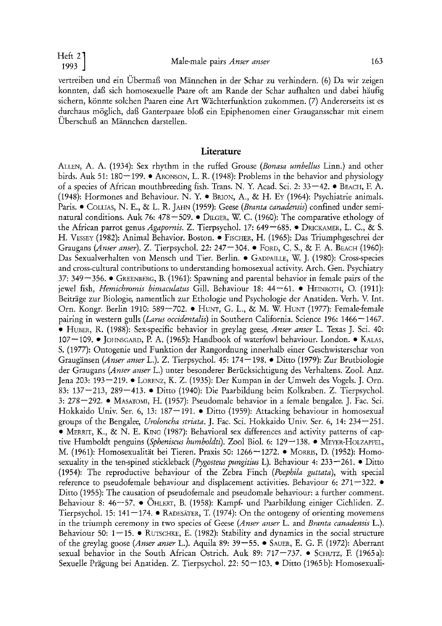vertreiben und ein Übermaß von Männchen in der Schar zu verhindern. (6) Da wir zeigen konnten, daß sich homosexuelle Paare oft am Rande der Schar aufhalten und dabei häufig sichern, könnte solchen Paaren eine Art Wächterfunktion zukommen. (7) Andererseits ist es durchaus möglich, daß Ganterpaare bloß ein Epiphenomen einer Graugansschar mit einem Überschuß an Männchen darstellen.

### **Literature**

ALTEN, A. A. (1934): Sex rhythm in the ruffed Grouse *(Bonasa umbellus* Linn.) and other birds. Auk 51: 180-199. • ARONSON, L. R. (1948): Problems in the behavior and physiology of a species of African mouthbreeding fish. Trans. N. Y. Acad. Sci. 2:  $33-42$ . • BEACH, F. A. (1948): Hormones and Behaviour. N. Y. • BRION, A., & H. EY (1964): Psychiatrie animals. Paris. • COLLIAS, N. E., & L. R. JAHN (1959): Geese *(Branta canadensis)* confined under seminatural conditions. Auk 76: 478-509.  $\bullet$  D $\mu$ GER, W. C. (1960): The comparative ethology of the African parrot genus *Agapornis.* Z. Tierpsychol. 17: 649-685. • DRICKAMER, L. C., & S. H. VESSEY (1982): Animal Behavior. Boston. • FISCHER, H. (1965): Das Triumphgeschrei der Graugans *(Anser anser)*. Z. Tierpsychol. 22: 247–304. • FORD, C. S., & F. A. BEACH (1960): Das Sexualverhalten von Mensch und Tier. Berlin. • GADPAILLE, W. J. (1980): Cross-species and cross-cultural contributions to understanding homosexual activity. Arch. Gen. Psychiatry  $37: 349 - 356.$  • GREENBERG, B. (1961): Spawning and parental behavior in female pairs of the jewel fish, *Hemichromis bimaculatus* Gill. Behaviour 18: 44--61. • HEINROTH, O. (1911): Beiträge zur Biologie, namentlich zur Ethologie und Psychologie der Anatiden. Verh. V. Int. Orn. Kongr. Berlin 1910: 589--702. • HUNT, G. L., & M. W. HUNT (1977): Female-female pairing in western gulls *(Larus occidentalis)* in Southern California. Science 196: 1466-1467. • HU»ER, R. (1988): Sex-specific behavior in greylag geese, *Anser anser* L. Texas J. Sci. 40: 107 – 109. • JOHNSGARD, P. A. (1965): Handbook of waterfowl behaviour. London. • KALAS, S. (1977): Ontogenie und Funktion der Rangordnung innerhalb einer Geschwisterschar von Graugänsen *(Anser anser* L.). Z. Tierpsychol. 45: 174--198. • Ditto (1979): Zur Brutbiologie der Graugans *(Anser anser* L.) unter besonderer Berücksichtigung des Verhaltens. Zool. Anz. Jena 203: 193-219. • LORENZ, K. Z. (1935): Der Kumpan in der Umwelt des Vogels. J. Orn. 83: 137-213, 289-413. • Ditto (1940): Die Paarbildung beim Kolkraben. Z. Tierpsychol. 3:  $278-292$ . • MASATOMI, H. (1957): Pseudomale behavior in a female bengalee J. Fac. Sci. Hokkaido Univ. Ser. 6, 13: 187-191. · Ditto (1959): Attacking behaviour in homosexual groups of the Bengalee, *Uroloncha striata.* J. Fac. Sci. Hokkaido Univ. Ser. 6, 14: 234-251. • MERRIT, K., & N. E. KING (1987): Behavioral sex differences and activity patterns of captive Humboldt penguins *(Spheniscus humboldti)*. Zool Biol. 6: 129–138. • MEYER-HOLZAPFEL, M. (1961): Homosexualität bei Tieren. Praxis 50: 1266--1272. • MoRRIS, D. (1952): Homosexuality in the ten-spined stickleback *(Pygosteus pungitius* L). Behaviour 4: 233--261. • Ditto (1954): The reproductive behaviour of the Zebra Finch *(Poephila guttata),* with special reference to pseudofemale behaviour and displacement activities. Behaviour 6: 271–322. ● Ditto (1955): The causation of pseudofemale and pseudomale behaviour: a further comment. Behaviour 8: 46-57. • OHLERT, B. (1958): Kampf- und Paarbildung einiger Cichliden. Z. Tierpsychol. 15: 141-174. • RADESÄTER, T. (1974): On the ontogeny of orienting movemens in the triumph ceremony in two species of Geese *(Anser anser* L. and *Branta canadensis* L.). Behaviour 50:  $1-15$ . • RUTSCHKE, E. (1982): Stability and dynamics in the social structure of the greylag goose *(Anser anser* L.). Aquila 89: 39--55. • SAUER, E. G. E (1972): Aberrant sexual behavior in the South African Ostrich. Auk 89: 717--737. • SCHUTZ, E (1965a): Sexuelle Prägung bei Anatiden. Z. Tierpsychol. 22: 50–103. • Ditto (1965b): Homosexuali